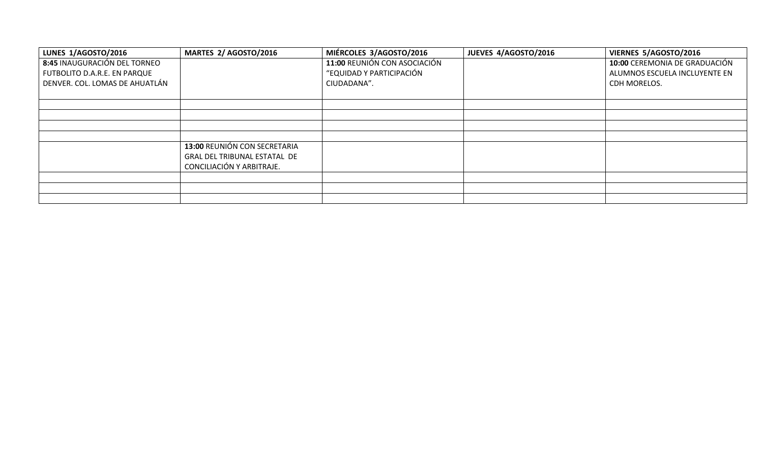| LUNES 1/AGOSTO/2016            | MARTES 2/ AGOSTO/2016        | MIÉRCOLES 3/AGOSTO/2016      | JUEVES 4/AGOSTO/2016 | VIERNES 5/AGOSTO/2016         |
|--------------------------------|------------------------------|------------------------------|----------------------|-------------------------------|
| 8:45 INAUGURACIÓN DEL TORNEO   |                              | 11:00 REUNIÓN CON ASOCIACIÓN |                      | 10:00 CEREMONIA DE GRADUACIÓN |
| FUTBOLITO D.A.R.E. EN PARQUE   |                              | "EQUIDAD Y PARTICIPACIÓN     |                      | ALUMNOS ESCUELA INCLUYENTE EN |
| DENVER. COL. LOMAS DE AHUATLÁN |                              | CIUDADANA".                  |                      | CDH MORELOS.                  |
|                                |                              |                              |                      |                               |
|                                |                              |                              |                      |                               |
|                                |                              |                              |                      |                               |
|                                |                              |                              |                      |                               |
|                                |                              |                              |                      |                               |
|                                | 13:00 REUNIÓN CON SECRETARIA |                              |                      |                               |
|                                | GRAL DEL TRIBUNAL ESTATAL DE |                              |                      |                               |
|                                | CONCILIACIÓN Y ARBITRAJE.    |                              |                      |                               |
|                                |                              |                              |                      |                               |
|                                |                              |                              |                      |                               |
|                                |                              |                              |                      |                               |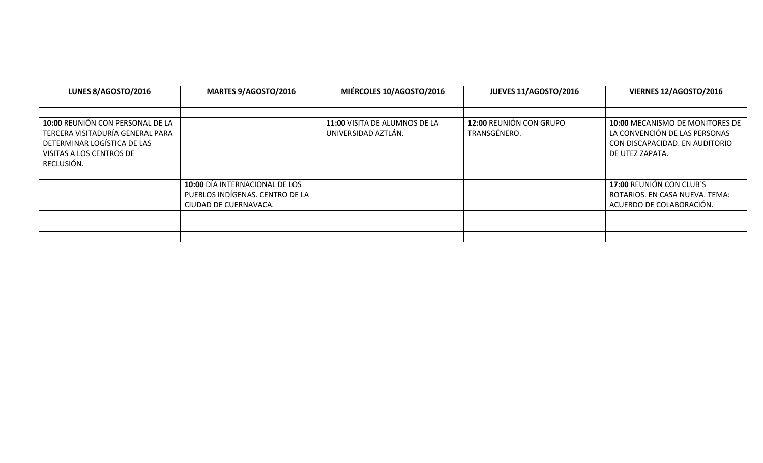| LUNES 8/AGOSTO/2016                                                                                                                           | <b>MARTES 9/AGOSTO/2016</b>                                                                | MIÉRCOLES 10/AGOSTO/2016                             | JUEVES 11/AGOSTO/2016                   | VIERNES 12/AGOSTO/2016                                                                                                |
|-----------------------------------------------------------------------------------------------------------------------------------------------|--------------------------------------------------------------------------------------------|------------------------------------------------------|-----------------------------------------|-----------------------------------------------------------------------------------------------------------------------|
|                                                                                                                                               |                                                                                            |                                                      |                                         |                                                                                                                       |
|                                                                                                                                               |                                                                                            |                                                      |                                         |                                                                                                                       |
| 10:00 REUNIÓN CON PERSONAL DE LA<br>TERCERA VISITADURÍA GENERAL PARA<br>DETERMINAR LOGÍSTICA DE LAS<br>VISITAS A LOS CENTROS DE<br>RECLUSIÓN. |                                                                                            | 11:00 VISITA DE ALUMNOS DE LA<br>UNIVERSIDAD AZTLÁN. | 12:00 REUNIÓN CON GRUPO<br>TRANSGÉNERO. | 10:00 MECANISMO DE MONITORES DE<br>LA CONVENCIÓN DE LAS PERSONAS<br>CON DISCAPACIDAD. EN AUDITORIO<br>DE UTEZ ZAPATA. |
|                                                                                                                                               |                                                                                            |                                                      |                                         |                                                                                                                       |
|                                                                                                                                               | 10:00 DÍA INTERNACIONAL DE LOS<br>PUEBLOS INDÍGENAS. CENTRO DE LA<br>CIUDAD DE CUERNAVACA. |                                                      |                                         | 17:00 REUNIÓN CON CLUB'S<br>ROTARIOS. EN CASA NUEVA. TEMA:<br>ACUERDO DE COLABORACIÓN.                                |
|                                                                                                                                               |                                                                                            |                                                      |                                         |                                                                                                                       |
|                                                                                                                                               |                                                                                            |                                                      |                                         |                                                                                                                       |
|                                                                                                                                               |                                                                                            |                                                      |                                         |                                                                                                                       |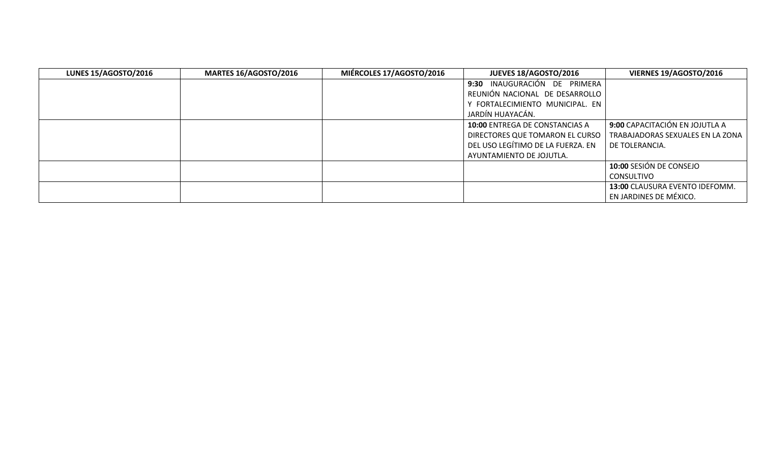| <b>LUNES 15/AGOSTO/2016</b> | <b>MARTES 16/AGOSTO/2016</b> | MIÉRCOLES 17/AGOSTO/2016 | JUEVES 18/AGOSTO/2016                 | VIERNES 19/AGOSTO/2016           |
|-----------------------------|------------------------------|--------------------------|---------------------------------------|----------------------------------|
|                             |                              |                          | 9:30 INAUGURACIÓN DE PRIMERA          |                                  |
|                             |                              |                          | REUNIÓN NACIONAL DE DESARROLLO        |                                  |
|                             |                              |                          | Y FORTALECIMIENTO MUNICIPAL. EN       |                                  |
|                             |                              |                          | JARDÍN HUAYACÁN.                      |                                  |
|                             |                              |                          | <b>10:00 ENTREGA DE CONSTANCIAS A</b> | 9:00 CAPACITACIÓN EN JOJUTLA A   |
|                             |                              |                          | DIRECTORES QUE TOMARON EL CURSO       | TRABAJADORAS SEXUALES EN LA ZONA |
|                             |                              |                          | DEL USO LEGÍTIMO DE LA FUERZA. EN     | DE TOLERANCIA.                   |
|                             |                              |                          | AYUNTAMIENTO DE JOJUTLA.              |                                  |
|                             |                              |                          |                                       | 10:00 SESIÓN DE CONSEJO          |
|                             |                              |                          |                                       | <b>CONSULTIVO</b>                |
|                             |                              |                          |                                       | 13:00 CLAUSURA EVENTO IDEFOMM.   |
|                             |                              |                          |                                       | EN JARDINES DE MÉXICO.           |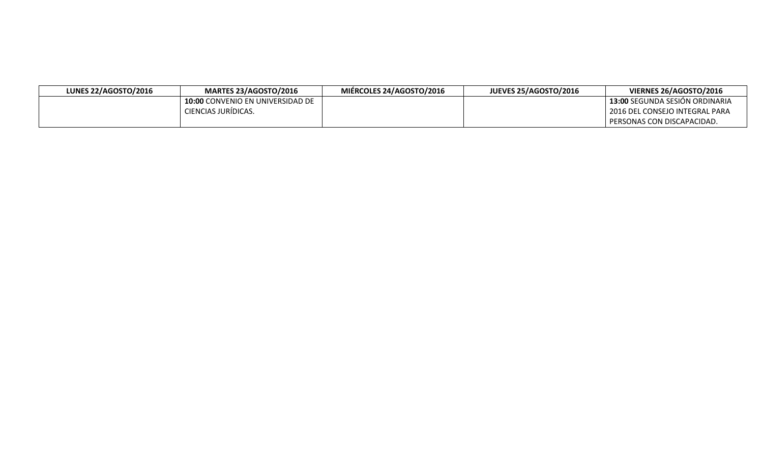| <b>LUNES 22/AGOSTO/2016</b> | <b>MARTES 23/AGOSTO/2016</b>            | MIÉRCOLES 24/AGOSTO/2016 | <b>JUEVES 25/AGOSTO/2016</b> | VIERNES 26/AGOSTO/2016                |
|-----------------------------|-----------------------------------------|--------------------------|------------------------------|---------------------------------------|
|                             | <b>10:00 CONVENIO EN UNIVERSIDAD DE</b> |                          |                              | <b>13:00 SEGUNDA SESION ORDINARIA</b> |
|                             | CIENCIAS JURÍDICAS.                     |                          |                              | 2016 DEL CONSEJO INTEGRAL PARA        |
|                             |                                         |                          |                              | PERSONAS CON DISCAPACIDAD.            |